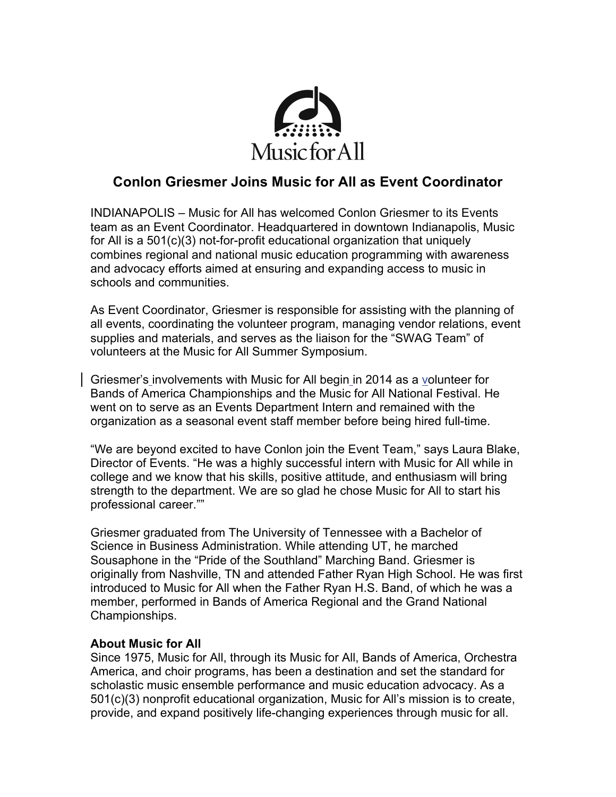

## **Conlon Griesmer Joins Music for All as Event Coordinator**

INDIANAPOLIS – Music for All has welcomed Conlon Griesmer to its Events team as an Event Coordinator. Headquartered in downtown Indianapolis, Music for All is a 501(c)(3) not-for-profit educational organization that uniquely combines regional and national music education programming with awareness and advocacy efforts aimed at ensuring and expanding access to music in schools and communities.

As Event Coordinator, Griesmer is responsible for assisting with the planning of all events, coordinating the volunteer program, managing vendor relations, event supplies and materials, and serves as the liaison for the "SWAG Team" of volunteers at the Music for All Summer Symposium.

Griesmer's involvements with Music for All begin in 2014 as a volunteer for Bands of America Championships and the Music for All National Festival. He went on to serve as an Events Department Intern and remained with the organization as a seasonal event staff member before being hired full-time.

"We are beyond excited to have Conlon join the Event Team," says Laura Blake, Director of Events. "He was a highly successful intern with Music for All while in college and we know that his skills, positive attitude, and enthusiasm will bring strength to the department. We are so glad he chose Music for All to start his professional career.""

Griesmer graduated from The University of Tennessee with a Bachelor of Science in Business Administration. While attending UT, he marched Sousaphone in the "Pride of the Southland" Marching Band. Griesmer is originally from Nashville, TN and attended Father Ryan High School. He was first introduced to Music for All when the Father Ryan H.S. Band, of which he was a member, performed in Bands of America Regional and the Grand National Championships.

## **About Music for All**

Since 1975, Music for All, through its Music for All, Bands of America, Orchestra America, and choir programs, has been a destination and set the standard for scholastic music ensemble performance and music education advocacy. As a 501(c)(3) nonprofit educational organization, Music for All's mission is to create, provide, and expand positively life-changing experiences through music for all.